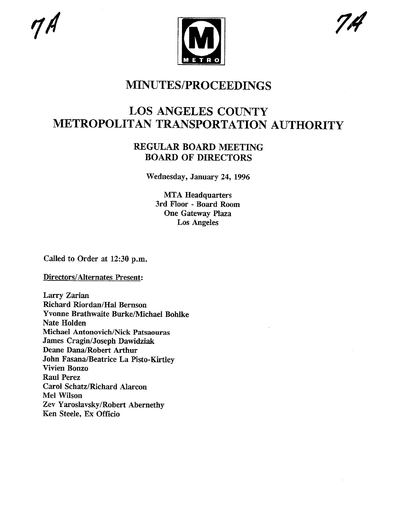

### **MINUTES/PROCEEDINGS**

## **LOS ANGELES COUNTY METROPOLITAN TRANSPORTATION AUTHORITY**

### **REGULAR BOARD MEETING BOARD OF DIRECTORS**

Wednesday, January 24, 1996

MTA Headquarters 3rd Floor - Board Room One Gateway Plaza Los Angeles

Called to Order at 12:30 p.m.

Directors/Alternates Present:

Larry Zarian Richard Riordan/Hal Bernson Yvonne Brathwaite Burke/Michael Bohlke Nate Holden Michael Antonovich/Nick Patsaouras James Cragin/Joseph Dawidziak Deane Dana/Robert Arthur John Fasana/Beatrice La Pisto-Kirtley Vivien Bonzo Raul Perez Carol Schatz/Richard Alarcon Mel Wilson Zev Yaroslavsky/Robert Abernethy Ken Steele, Ex Officio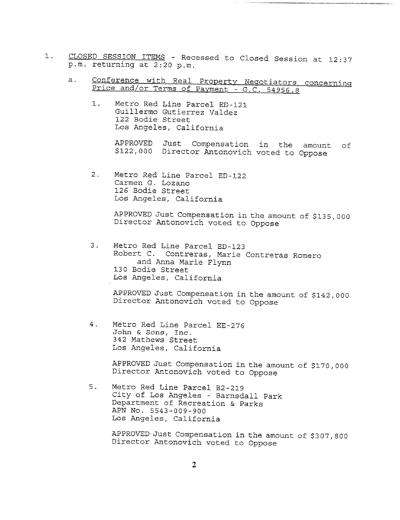- 1. CLOSED SESSION ITEMS Recessed to Closed Session at 12:37 p.m. returning at 2:20 p.m.
	- a. Conference with Real Property Negotiators concerning Price and/or Terms of Payment - G.C. 54956.8
		- Metro Red Line Parcel ED-121  $1.$ Guillermo Gutierrez Valdez 122 Bodie Street Los Angeles, California

APPROVED Just Compensation in the amount of \$122,000 Director Antonovich voted to Oppose

2. Metro Red Line Parcel ED-122 Carmen G. Lozano 126 Bodie Street Los Angeles, California

> APPROVED Just Compensation in the amount of \$135,000 Director Antonovich voted to Oppose

3. Metro Red Line Parcel ED-123 Robert C. Contreras, Marie Contreras Romero and Anna Marie Flynn 130 Bodie Street Los Angeles, California

APPROVED Just Compensation in the amount of \$142,000 Director Antonovich voted to Oppose

 $4$  . Metro Red Line Parcel EE-276 John & Sons, Inc. 342 Mathews Street Los Angeles, California

> APPROVED Just Compensation in the amount of \$170,000 Director Antonovich voted to Oppose

 $5.$ Metro Red Line Parcel B2-2!9 City of Los Angeles - Barnsdall Park Department of Recreation & Parks APN No. 5543-009-900 Los Angeles, California

> APPROVED Just Compensation in the amount of \$307,800 Director Antonovich voted to Oppose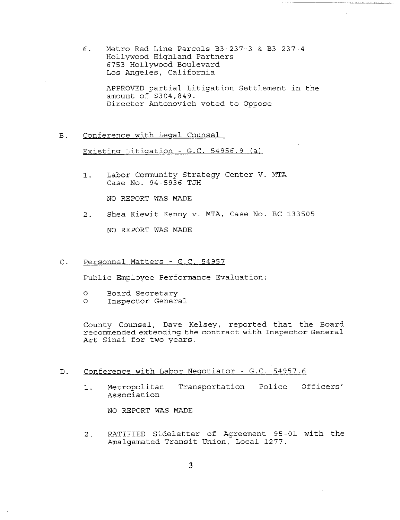6. Metro Red Line Parcels  $B3-237-3$  &  $B3-237-4$ Hollywood Highland Partners 6753 Hollywood Boulevard Los Angeles, California

> APPROVED partial Litigation Settlement in the amount of \$304,849. Director Antonovich voted to Oppose

B. Conference with Leqal Counsel

Existing Litigation - G.C. 54956.9 (a)

Labor Community Strategy Center V. MTA  $1.$ Case No. 94-5936 TJH

NO REPORT WAS MADE

 $2.$ Shea Kiewit Kenny v. MTA, Case No. BC 133505

NO REPORT WAS MADE

 $\mathcal{C}$ . Personnel Matters - G.C. 54957

Public Employee Performance Evaluation:

- o Board Secretary
- o Inspector General

County Counsel, Dave Kelsey, reported that the Board recommended extending the contract with Inspector General Art Sinai for two years.

- D. Conference with Labor Negotiator G.C. 54957.6
	- I. Metropolitan Transportation Police Officers' Association

NO REPORT WAS MADE

2. RATIFIED Sideletter of Agreement 95-01 with the Amalgamated Transit Union, Local 1277.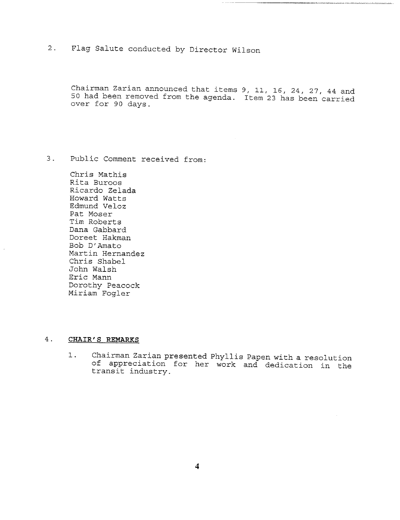## 2. Flag Salute conducted by Director Wilson

Chairman Zarian announced that items 9, ii, 16, 24, 27, 44 and 50 had been removed from the agenda. Item 23 has been carried over for 90 days.

3. Public Comment received from:

Chris Mathis Rita Buroos Ricardo Zelada Howard Watts Edmund Veloz Pat Moser Tim Roberts Dana Gabbard Doreet Hakman Bob D'Amato Martin Hernandez Chris Shabel John Walsh Eric Mann Dorothy Peacock Miriam Fogler

#### $4.$ **CHAIR'S REMARKS**

Chairman Zarian presented Phyllis Papen with a resolution  $1$  . of appreciation for her work and dedication in the transit industry.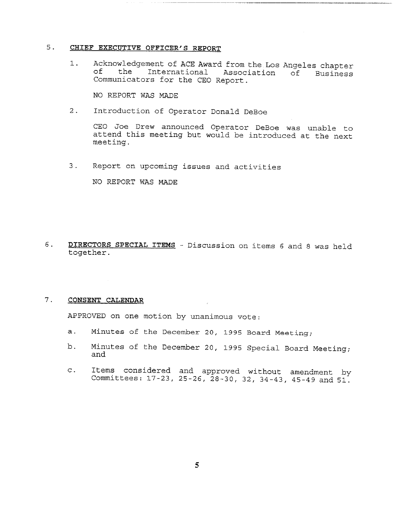### **5. CHIEF EXECUTIVE OFFICER'S REPORT**

Acknowledgement of ACE Award from the Los Angeles chapter  $1.$ of the International Association of Business Communicators for the CEO Report.

NO REPORT WAS MADE

2. Introduction of Operator Donald DeBoe

CEO Joe Drew announced Operator DeBoe was unable to attend this meeting but would be introduced at the next meeting.

3. Report on upcoming issues and activities

NO REPORT WAS MADE

6. DIRECTORS SPECIAL ITEMS - Discussion on items 6 and 8 was held together.

#### $7.$ **CONSENT CALENDAR**

APPROVED on one motion by unanimous vote:

- a. Minutes of the December 20, 1995 Board Meeting;
- b. Minutes of the December 20, 1995 Special Board Meeting; and
- c. Items considered and approved without amendment by Committees: 17-23, 25-26, 28-30, 32, 34-43, 45-49 and 51.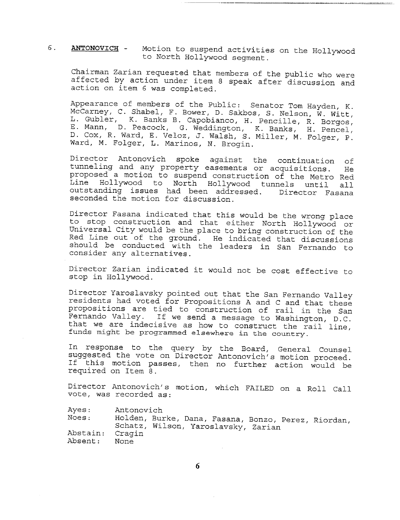#### $6.$ **ANTONOVICH -** Motion to suspend activities on the Hollywood to North Hollywood segment.

Chairman Zarian requested that members of the public who were affected by action under item 8 speak after discussion and action on item 6 was completed.

Appearance of members of the Public: Senator Tom Hayden, K. McCarney, C. Shabel, F. Bower, D. Sakbos, S. Nelson, W. Witt, L. Gubler, K. Banks B. Capobianco, H. Pencille, R. Borgos, E. Mann, D. Peacock, G. Weddington, K. Banks, H. Pencel, D. Cox, R. Ward, E. Veloz, J. Walsh, S. Miller, M. Folger, P. Ward, M. Folger, L. Marinos, N. Brogin.

Director Antonovich spoke against the continuation of tunneling and any property easements or acquisitions. He proposed a motion to suspend construction of the Metro Red Line Hollywood to North Hollywood tunnels until all outstanding issues had been addressed. Director Fasana seconded the motion for discussion.

Director Fasana indicated that this would be the wrong place to stop construction and that either North Hollywood or Universal City would be the place to bring construction of the Red Line out of the ground. He indicated that discussions should be conducted with the leaders in San Fernando to consider any alternatives.

Director Zarian indicated it would not be cost effective to stop in Hollywood.

Director Yaroslavsky pointed out that the San Fernando Valley residents had voted for Propositions A and C and that these propositions are tied to construction of rail in the San Fernando Valley. If we send a message to Washington, D.C. that we are indecisive as how to construct the rail line, funds might be programmed elsewhere in the country.

In response to the query by the Board, General Counsel suggested the vote on Director Antonovich's motion proceed. If this motion passes, then no further action would be required on Item 8.

Director Antonovich's motion, which FAILED on a Roll Call vote, was recorded as:

Ayes: Antonovich

Noes: Abstain: Cragi Absent: Holden, Burke, Dana, Fasana, Bonzo, Perez, Riordan, Schatz, Wilson, Yaroslavsky, Zarian None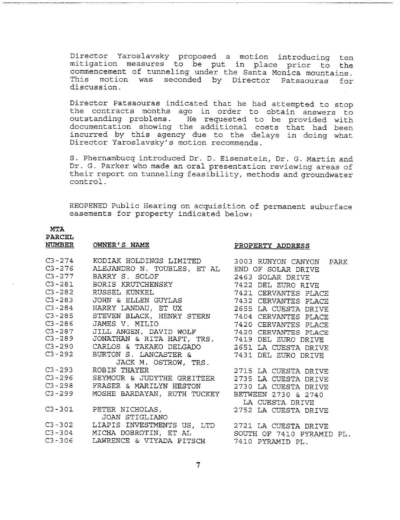Director Yaroslavsky proposed a motion introducing ten mitigation measures to be put in place prior to the commencement of tunneling under the Santa Monica mountains. This motion was seconded by Director Patsaouras for discussion.

Director Patsaouras indicated that he had attempted to stop the contracts months ago in order to obtain answers to outstanding problems. He requested to be provided with documentation showing the additional costs that had been incurred by this agency due to the delays in doing what Director Yaroslavsky's motion recommends.

S. Phernambucq introduced Dr. D. Eisenstein, Dr. G. Martin and Dr. G. Parker who made an oral presentation reviewing areas of their report on tunneling feasibility, methods and groundwater control.

REOPENED Public Hearing on acquisition of permanent suburface easements for property indicated below:

### **MTA**

## **PARCEL**

### **NUMBER OWNER'S NAME** *PROPERTY ADDRESS*

| C3-274 KODIAK HOLDINGS LIMITED 3003 RUNYON CANYON PARK                                                                                                                                                                                   |  |
|------------------------------------------------------------------------------------------------------------------------------------------------------------------------------------------------------------------------------------------|--|
| C3-276 ALEJANDRO N. TOUBLES, ET AL END OF SOLAR DRIVE                                                                                                                                                                                    |  |
|                                                                                                                                                                                                                                          |  |
|                                                                                                                                                                                                                                          |  |
|                                                                                                                                                                                                                                          |  |
| C3-277 BARRY S. SOLOF (2463 SOLAR DRIVE)<br>C3-281 BORIS KRUTCHENSKY (2463 SOLAR DRIVE)<br>C3-282 RUSSEL KUNKEL (23-283 JOHN & ELLEN GUYLAS (23-283 JOHN & ELLEN GUYLAS (23-283 PLACE)                                                   |  |
|                                                                                                                                                                                                                                          |  |
|                                                                                                                                                                                                                                          |  |
| C3-284 HARRY LANDAU, ET UX<br>C3-284 HARRY LANDAU, ET UX<br>C3-285 STEVEN BLACK, HENRY STERN 7404 CERVANTES PLACE<br>C3-286 JAMES V. MILIO 7420 CERVANTES PLACE<br>C3-287 JILL ANGEN, DAVID WOLF 7420 CERVANTES PLACE<br>C3-289 JONATHAN |  |
|                                                                                                                                                                                                                                          |  |
|                                                                                                                                                                                                                                          |  |
|                                                                                                                                                                                                                                          |  |
|                                                                                                                                                                                                                                          |  |
| JACK M. OSTROW, TRS.                                                                                                                                                                                                                     |  |
| C3-293 ROBIN THAYER                                                                                                                                                                                                                      |  |
|                                                                                                                                                                                                                                          |  |
| C3-298 FRASER & MARILYN HESTON 2730 LA CUESTA DRIVE                                                                                                                                                                                      |  |
| C3-299 MOSHE BARDAYAN, RUTH TUCKEY BETWEEN 2730 & 2740                                                                                                                                                                                   |  |
|                                                                                                                                                                                                                                          |  |
|                                                                                                                                                                                                                                          |  |
| JOAN STIGLIANO                                                                                                                                                                                                                           |  |
| C3-302 LIAPIS INVESTMENTS US, LTD 2721 LA CUESTA DRIVE                                                                                                                                                                                   |  |
|                                                                                                                                                                                                                                          |  |
|                                                                                                                                                                                                                                          |  |
|                                                                                                                                                                                                                                          |  |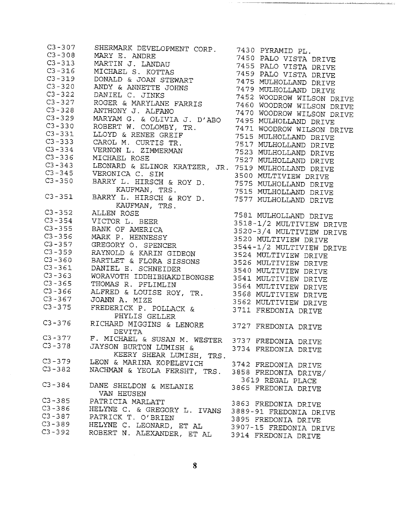C3 -307 C3 -308 C3 -313 C3 -316 C3 -319 C3 -320 C3 -322 C3 -327 C3 -328 C3 -329 C3 – 33 C3 -331 C3 -333 C3 – 33 C3 – 33 C3 -343 C3 -345 C3 -350 C3 -351 C3-352 ALLEN ROSI C3 – 35 C3 -355 C3 -356 C3 -357 C3 -359 C3 -360 C3 – 36 C3 -363 C3 -365 C3-36 C3 -367 C3 – 3*7* C3-376 RICHARD MIGGINS & LENORE 3727 FREDONIA DRIV C3 -377 C3 – 3*7* C3 -379 C3 -382 C3-384 DANE SHELDON & MELANI C3 -385 C3 -386 C3 -387 C3 -389 C3 – 39 SHERMARK DEVELOPMENT CORP. 7430 MARY E. ANDRE 7450 MARTIN J. LANDAU 1455<br>VICII II MICHAEL S. KOTTAS 7459 DONALD & JOAN STEWART 7475 ANDY & ANNETTE JOHNS 7479 DANIEL C. JINKS 7452 ROGER & MARYLANE FARRIS 7460 ANTHONY J. ALFANO 7470 MARYAM G. & OLIVIA J. D'ABO 7495 ROBERT W. COLOMBY, TR. 7471 LLOYD & RENEE GREIF 7515 CAROL M. CURTIS TR. 7517 VERNON L. ZIMMERMAN 7523 MICHAEL ROSE 7527 LEONARD & ELINOR KRATZER, JR. 7519 VERONICA C. SIM 3500 BARRY L. HIRSCH & ROY D. 7575 KAUFMAN, TRS. 7515 BARRY L. HIRSCH & ROY D. 7577 KAUFMAN, TRS. VICTOR L. BEER BANK OF AMERICA MARK P. HENNESS GREGORY O. SPENCE RAYNOLD & KARIN GIDEO BARTLET & FLORA SISSONS 3526 DANIEL E. SCHNEIDER 3540 WORAVOTH IDDHIBHAKDIBONGSE 354: THOMAS R. PFLIMLIN 3564 ALFRED & LOUISE ROY, TR. 3568 JOANNA.MIZE 3562 FREDERICK P. POLLACK & 3711 PHYLIS GELLER DEVITA F. MICHAEL & SUSAN M. WESTER JAYSON BURTON LUMISH & KEERY SHEAR LUMISH, TRS. LEON & MARINA KOPELEVIO NACHMAN & YEOLA FERSHT, TRS. VAN HEUSE PATRICIA MARLAT HELYNE C. & GREGORY L. IVANS PATRICK T. O'BRIE HELYNE C. LEONARD, ET AL ROBERT N. ALEXANDER, ET AL PYRAMID PL. PALO VISTA DRIV PALO VISTA DRIV PALO VISTA DRIV MULHOLLAND DRIV MULHOLLAND DRIV WOODROW WILSON DRIV WOODROW WILSON DRIV WOODROW WILSON DRIV MULHOLLAND DRIV WOODROW WILSON DRIV MULHOLLAND DRIVE MULHOLLAND DRIV MULHOLLAND DRIV MULHOLLAND DRIVE MULHOLLAND DRIV MULTIVIEW DRIV MULHOLLAND DRIV MULHOLLAND DRIV MULHOLLAND DRIV 7581 MULHOLLAND DRIV 3518-1/2 MULTIVIEW DRIV 3520-3/4 MULTIVIEW DRIV 3520 MULTIVIEW DRIV 3544-1/2 MULTIVIEW DRIV 3524 MULTIVIEW DRIV MULTIVIEW DRIV MULTIVIEW DRIV MULTIVIEW DRIV MULTIVIEW DRIV MULTIVIEW DRIV MULTIVIEW DRIV FREDONIA DRIV 3737 FREDONIA DRIV 3734 FREDONIA DRIVE 3742 FREDONIA DRIV 3858 FREDONIA DRIVE/ 3619 REGAL PLAC 3865 FREDONIA DRIV 3863 FREDONIA DRIV 3889-91 FREDONIA DRIV 3895 FREDONIA DRIV 3907-15 FREDONIA DRIV 3914 FREDONIA DRIV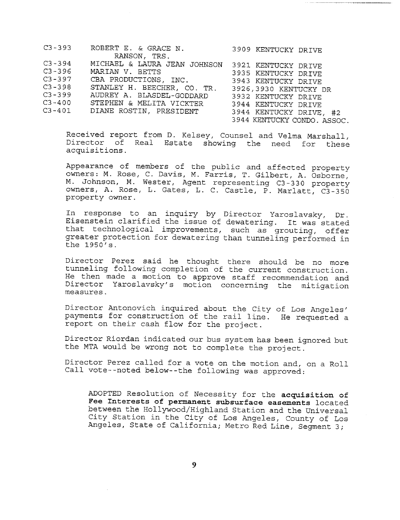| $C3 - 393$ | ROBERT E. & GRACE N.           | 3909 KENTUCKY DRIVE         |
|------------|--------------------------------|-----------------------------|
|            | RANSON, TRS.                   |                             |
| $C3 - 394$ | MICHAEL & LAURA JEAN JOHNSON   | 3921 KENTUCKY DRIVE         |
| $C3 - 396$ | MARIAN V. BETTS                | 3935 KENTUCKY DRIVE         |
| $C3 - 397$ | CBA PRODUCTIONS, INC.          | 3943 KENTUCKY DRIVE         |
| $C3 - 398$ | STANLEY H. BEECHER, CO. TR.    | 3926,3930 KENTUCKY DR       |
| $C3 - 399$ | AUDREY A. BLASDEL-GODDARD      | 3932 KENTUCKY DRIVE         |
| $C3 - 400$ | STEPHEN & MELITA VICKTER       | 3944 KENTUCKY DRIVE         |
|            | C3-401 DIANE ROSTIN, PRESIDENT | 3944 KENTUCKY DRIVE, #2     |
|            |                                | 3944 KENTUCKY CONDO. ASSOC. |

Received report from D. Kelsey, Counsel and Velma Marshall, Director of Real Estate showing the need for these acquisitions.

Appearance of members of the public and affected property owners: M. Rose, C. Davis, M. Farris, T. Gilbert, A. Osborne, M. Johnson, M. Wester, Agent representing C3-330 property owners, A. Rose, L. Gates, L. C. Castle, P. Marlatt, C3-350 property owner.

In response to an inquiry by Director Yaroslavsky, Dr. Eisenstein clarified the issue of dewatering. It was stated that technological improvements, such as grouting, offer greater protection for dewatering than tunneling performed in the 1950's.

Director Perez said he thought there should be no more tunneling following completion of the current construction. He then made a motion to approve staff recommendation and Director Yaroslavsky's motion concerning the mitigation measures.

Director Antonovich inquired about the City of Los Angeles' payments for construction of the rail line. He requested a report on their cash flow for the project.

Director Riordan indicated our bus system has been ignored but the MTA would be wrong not to complete the project.

Director Perez called for a vote on the motion and, on a Roll Call vote--noted below--the following was approved:

ADOPTED Resolution of Necessity for the acquisition of **Fee Interests of permanent subsurface easements** located between the Hollywood/Highland Station and the Universal City Station in the City of Los Angeles, County of Los Angeles, State of California; Metro Red Line, Segment 3;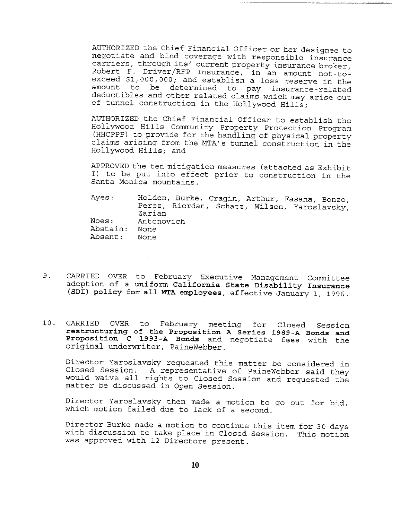AUTHORIZED the Chief Financial Officer or her designee to negotiate and bind coverage with responsible insurance carriers, through its' current property insurance broker, Robert F. Driver/RFP Insurance, in an amount not-toexceed \$I,000,000; and establish a loss reserve in the amount to be determined to pay insurance-related deductibles and other related claims which may arise out of tunnel construction in the Hollywood Hills;

AUTHORIZED the Chief Financial Officer to establish the Hollywood Hills Community Property Protection Program (HHCPPP) to provide for the handling of physical property claims arising from the MTA's tunnel construction in the Hollywood Hills; and

APPROVED the ten mitigation measures (attached as Exhibit I) to be put into effect prior to construction in the Santa Monica mountains.

Ayes: Noes: Abstain: None Absent: Holden, Burke, Cragin, Arthur, Fasana, Bonzo, Perez, Riordan, Schatz, Wilson, Yaroslavsky, Zarian Antonovich None

- 9. CARRIED OVER to February Executive Management Committee adoption of a **uniform California State Disability Insurance** (SDI) policy for all MTA employees, effective January i, 1996.
- i0. CARRIED OVER to February meeting for Closed Session **restructuring of the Proposition A Series 1989-A Bonds and Proposition** C 1993-A Bonds and negotiate fees with the original underwriter, PaineWebber.

Director Yaroslavsky requested this matter be considered in Closed Session. A representative of PaineWebber said they would waive all rights to Closed Session and requested the matter be discussed in Open Session.

Director Yaroslavsky then made a motion to go out for bid, which motion failed due to lack of a second.

Director Burke made a motion to continue this item for 30 days with discussion to take place in Closed Session. This motion was approved with 12 Directors present.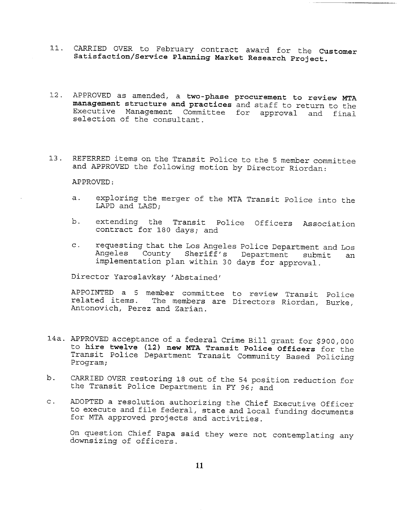- Ii. CARRIED OVER to February contract award for the Customer **Satisfaction/Service Planning Market Research Project.**
- 12. APPROVED as amended, a two-phase **procurement to review** MTA **management structure and practices** and staff to return to the Executive Management Committee for approval and final selection of the consultant.
- 13. REFERRED items on the Transit Police to the 5 member committee and APPROVED the following motion by Director Riordan:

APPROVED:

- exploring the merger of the MTA Transit Police into the  $a.$ LAPD and LASD;
- b. extending the Transit Police Officers Association contract for 180 days; and
- c. requesting that the Los Angeles Police Department and Los Angeles County Sheriff's Department submit an implementation plan within 30 days for approval.

Director Yaroslavksy 'Abstained'

APPOINTED a 5 member committee to review Transit Police related items. The members are Directors Riordan, Burke, Antonovich, Perez and Zarian.

- 14a. APPROVED acceptance of a federal Crime Bill grant for \$900,000 to **hire twelve (12) new MTA Transit Police** Officers for the Transit Police Department Transit Community Based Policing Program;
- b. CARRIED OVER restoring 18 out of the 54 position reduction for the Transit Police Department in FY 96; and
- c. ADOPTED a resolution authorizing the Chief Executive Officer to execute and file federal, state and local funding documents for MTA approved projects and activities.

On question Chief Papa said they were not contemplating any downsizing of officers.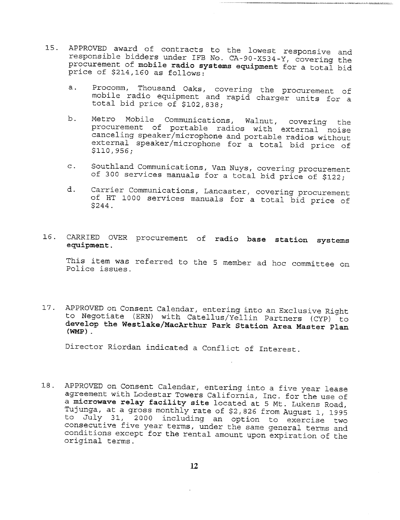- 15. APPROVED award of contracts to the lowest responsive and responsible bidders under IFB No. CA-90-X534-Y, covering the procurement of mobile **radio systems equipment** for a total bid price of \$214,160 as follows:
	- a. Procomm, Thousand Oaks, covering the procurement of mobile radio equipment and rapid charger units for a total bid price of \$102,838;

.<br>Bilan bayan di di Cirico da Pilatan Manazarta da Parta da

- b. Metro Mobile Communications, Walnut, covering the procurement of portable radios with external noise canceling speaker/microphone and portable radios without external speaker/microphone for a total bid price of \$110,956;
- Southland Communications, Van Nuys, covering procurement  $\mathsf{C}$ . of 300 services manuals for a total bid price of \$122;
- Carrier Communications, Lancaster, covering procurement d. of HT i000 services manuals for a total bid price of \$244.

### 16. CARRIED OVER procurement of **radio base station systems** equipment.

This item was referred to the 5 member ad hoc committee on Police issues.

17. APPROVED on Consent Calendar, entering into an Exclusive Right to Negotiate (ERN) with Catellus/Yellin Partners (CYP) to **develop the Westlake/MacArthur Park Station Area Master Plan (WMP).**

Director Riordan indicated a Conflict of Interest.

18. APPROVED on Consent Calendar, entering into a five year lease agreement with Lodestar Towers California, Inc. for the use of a microwave relay facility site located at 5 Mt. Lukens Road, Tujunga, at a gross monthly rate of \$2,826 from August i, 1995 to July 31, 2000 including an option to exercise two consecutive five year terms, under the same general terms and conditions except for the rental amount upon expiration of the original terms.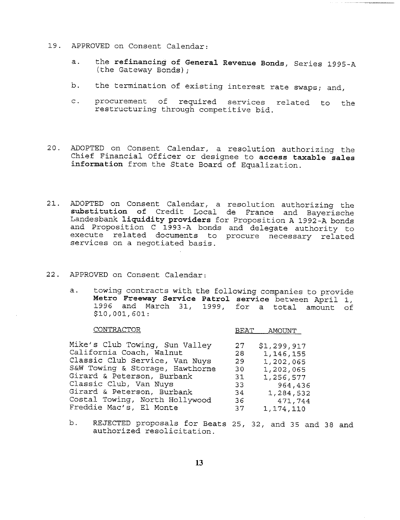- 19. APPROVED on Consent Calendar:
	- the **refinancing of General Revenue Bonds,** Series 1995-A  $a.$ (the Gateway Bonds);
	- b. the termination of existing interest rate swaps; and,
	- c. procurement of required services related to the restructuring through competitive bid.
- 20. ADOPTED on Consent Calendar, a resolution authorizing the Chief Financial Officer or designee to access taxable sales **information** from the State Board of Equalization.
- 21. ADOPTED on Consent Calendar, a resolution authorizing the **substitution** of Credit Local de France and Bayerische Landesbank liquidity providers for Proposition A 1992-A bonds and Proposition C 1993-A bonds and delegate authority to execute related documents to procure necessary related services on a negotiated basis.
- 22. APPROVED on Consent Calendar:
	- towing contracts with the following companies to provide  $a.$ Metro Freeway Service Patrol service between April 1,<br>1996 and March 31, 1999, for a total amount of and March 31, 1999, for a total amount of \$10,001,601:

CONTRACTOR BEAT AMOUNT

| Mike's Club Towing, Sun Valley<br>California Coach, Walnut<br>Classic Club Service, Van Nuys<br>S&W Towing & Storage, Hawthorne<br>Girard & Peterson, Burbank<br>Classic Club, Van Nuys<br>Girard & Peterson, Burbank | 27<br>28<br>29<br>30<br>31<br>33<br>-34 | \$1,299,917<br>1,146,155<br>1,202,065<br>1,202,065<br>1,256,577<br>964,436 |
|-----------------------------------------------------------------------------------------------------------------------------------------------------------------------------------------------------------------------|-----------------------------------------|----------------------------------------------------------------------------|
| Costal Towing, North Hollywood<br>Freddie Mac's, El Monte                                                                                                                                                             | 36<br>37                                | 1,284,532<br>471,744<br>1,174,110                                          |

b. REJECTED proposals for Beats 25, 32, and 35 and 38 and authorized resolicitation.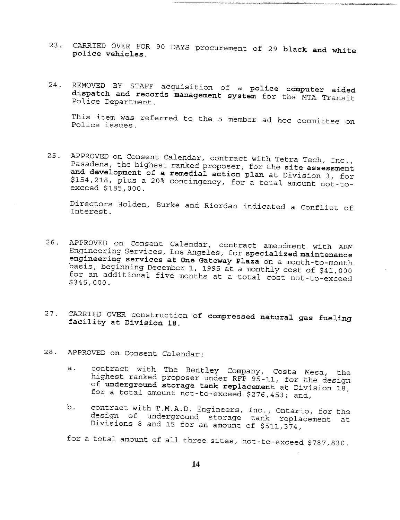23. CARRIED OVER FOR 90 DAYS procurement of 29 black and white police vehicles.

2022/2023/2020/1002/2020

24. REMOVED BY STAFF acquisition of a police computer aided dispatch and records management system for the MTA Transit Police Department.

This item was referred to the 5 member ad hoc committee on Police issues.

25. APPROVED on Consent Calendar, contract with Tetra Tech, inc., Pasadena, the highest ranked proposer, for the site assessment and development of a remedial action plan at Division 3, for \$154,218, plus a 20% contingency, for a total amount not-to- exceed \$185,000.

Directors Holden, Burke and Riordan indicated a Conflict of Interest.

- 26. APPROVED on Consent Calendar, contract amendment with ABM Engineering Services, Los Angeles, for specialized maintenance engineering services at One Gateway Plaza on a month-to-month basis, beginning December 1, 1995 at a monthly cost of \$41,000 for an additional five months at a total cost not-to-exceed \$345,000.
- 27. CARRIED OVER construction of compressed natural gas fueling facility at Division 18.
- 28. APPROVED on Consent Calendar:
	- a. contract with The Bentley Company, Costa Mesa, the highest ranked proposer under RFP 95-11, for the design of underground storage tank replacement at Division 18, for a total amount not-to-exceed \$276,453; and,
	- b. contract with T.M.A.D. Engineers, Inc., Ontario, for the design of underground storage tank replacement at Divisions 8 and 15 for an amount of \$511,374,

for a total amount of all three sites, not-to-exceed \$787,830.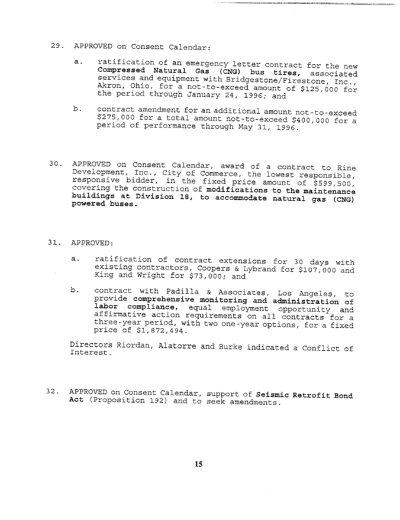- 29. APPROVED on Consent Calendar:
	- ratification of an emergency letter contract for the new  $a.$ **Compressed Natural Gas** (CNG) bus tires, associated services and equipment with Bridgestone/Firestone, Inc., Akron, Ohio, for a not-to-exceed amount of \$125,000 for the period through January 24, 1996; and

internitation and construction

- b. contract amendment for an additional amount not-to-exceed \$275,000 for a total amount not-to-exceed \$400,000 for a period of performance through May 31, 1996.
- 30. APPROVED on Consent Calendar, award of a contract to Rine Development, Inc., City of Commerce, the lowest responsible, responsive bidder, in the fixed price amount of \$599,500 covering the construction of **modifications to the maintenance buildings at Division 18, to accommodate natural gas** (CNG) **powered buses.**
- 31. APPROVED:
	- a. ratification of contract extensions for 30 days with existing contractors, Coopers & Lybrand for \$107,000 and King and Wright for \$73,000; and
	- b. contract with Padilla & Associates, Los Angeles, to provide **comprehensive monitoring and administration** of **labor compliance,** equal employment opportunity and affirmative action requirements on all contracts for a three-year period, with two one-year options, for a fixed price of \$1,872,494.

Directors Riordan, Alatorre and Burke indicated a Conflict of Interest.

32. APPROVED on Consent Calendar, support of **Seismic Retrofit** Bond Act (Proposition 192) and to seek amendments.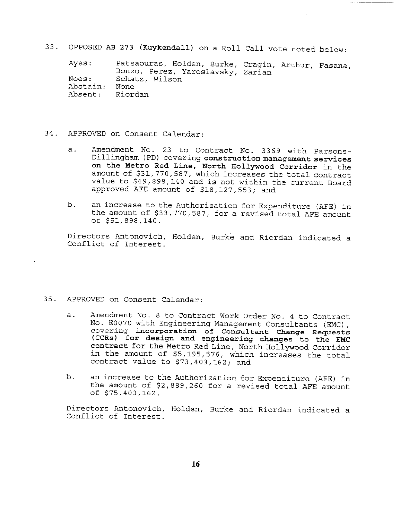33. OPPOSED AB 273 (Kuykendall) on a Roll Call vote noted below:

Ayes: Noes: Abstain: Absent: Patsaouras, Holden, Burke, Cragin, Arthur, Fasana, Bonzo, Perez, Yaroslavsky, Zarian Schatz, Wilson None Riordan

- 34. APPROVED on Consent Calendar:
	- Amendment No. 23 to Contract No. 3369 with Parsons $a.$ Dillingham (PD) covering **construction management services on the Metro Red Line, North Hollywood Corridor** in the amount of \$31,770,587, which increases the total contract value to \$49,898,140 and is not within the current Board approved AFE amount of \$18,127,553; and
	- b. an increase to the Authorization for Expenditure (AFE) in the amount of \$33,770,587, for a revised total AFE amount of \$51,898,140.

Directors Antonovich, Holden, Burke and Riordan indicated a Conflict of Interest.

#### 35. APPROVED on Consent Calendar:

- Amendment No. 8 to Contract Work Order No. 4 to Contract  $a.$ No. E0070 with Engineering Management Consultants (EMC), covering incorporation of **Consultant Change Requests (CCRS) for design and engineering changes to the EMC contract** for the Metro Red Line, North Hollywood Corridor in the amount of \$5,195,576, which increases the total contract value to \$73,403,162; and
- b. an increase to the Authorization for Expenditure (AFE) in the amount of \$2,889,260 for a revised total AFE amount of \$75,403,162.

Directors Antonovich, Holden, Burke and Riordan indicated a Conflict of interest.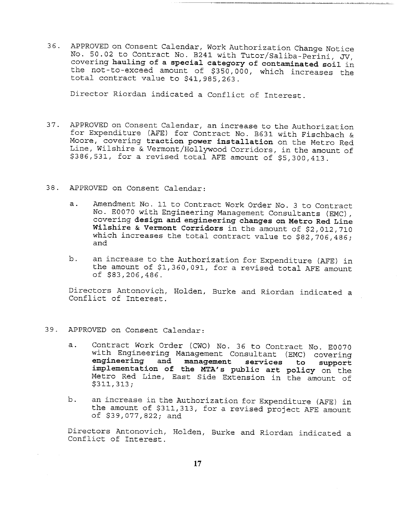36. APPROVED on Consent Calendar, Work Authorization Change Notice No. 50.02 to Contract No. B241 with Tutor/Saliba-Perini, JV, covering hauling of a special category of **contaminated soil** in the not-to-exceed amount of \$350,000, which increases the total contract value to \$41,985,263.

Director Riordan indicated a Conflict of Interest.

- 37. APPROVED on Consent Calendar, an increase to the Authorization for Expenditure (AFE) for Contract No. B631 with Fischbach & Moore, covering **traction power installation** on the Metro Red Line, Wilshire & Vermont/Hollywood Corridors, in the amount of \$386,531, for a revised total AFE amount of \$5,300,413.
- 38. APPROVED on Consent Calendar:
	- $a.$ Amendment No. ii to Contract Work Order No. 3 to Contract No. E0070 with Engineering Management Consultants (EMC), covering design and engineering changes on Metro Red Line **Wilshire & Vermont Corridors** in the amount of \$2,012,710 which increases the total contract value to \$82,706,486; and
	- b. an increase to the Authorization for Expenditure (AFE) in the amount of \$1,360,091, for a revised total AFE amount of \$83,206,486.

Directors Antonovich, Holden, Burke and Riordan indicated a Conflict of Interest.

- 39. APPROVED on Consent Calendar:
	- a. Contract Work Order (CWO) No. 36 to Contract No. E0070 with Engineering Management Consultant (EMC) covering **engineering and management services to support** implementation of the MTA's public art policy on the Metro Red Line, East Side Extension in the amount of \$311,313;
	- b. an increase in the Authorization for Expenditure (AFE) in the amount of \$311,313, for a revised project AFE amount of \$39,077,822; and

Directors Antonovich, Holden, Burke and Riordan indicated a Conflict of Interest.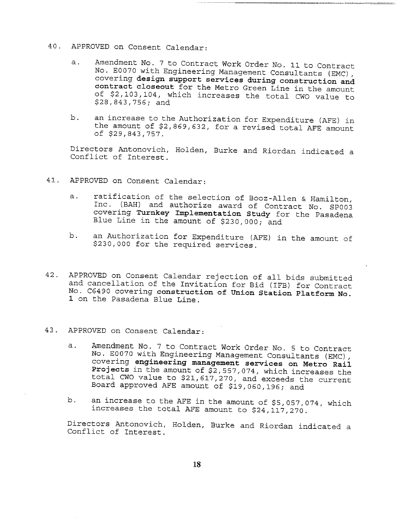- 40. APPROVED on Consent Calendar:
	- Amendment No. 7 to Contract Work Order No. ii to Contract a. No. E0070 with Engineering Management Consultants (EMC), covering design support services during construction and contract closeout for the Metro Green Line in the amount of \$2,103,104, which increases the total CWO value to \$28,843,756; and
	- b. an increase to the Authorization for Expenditure (AFE) in the amount of \$2,869,632, for a revised total AFE amount of \$29,843,757.

Directors Antonovich, Holden, Burke and Riordan indicated a Conflict of Interest.

- 41. APPROVED on Consent Calendar:
	- ratification of the selection of Booz-Allen & Hamilton, a. Inc. (BAH) and authorize award of Contract No. SP003 covering Turnkey Implementation Study for the Pasadena Blue Line in the amount of \$230,000; and
	- b. an Authorization for Expenditure (AFE) in the amount of \$230,000 for the required services.
- 42. APPROVED on Consent Calendar rejection of all bids submitted and cancellation of the Invitation for Bid (IFB) for Contract No. C6490 covering construction of Union Station Platform No. 1 on the Pasadena Blue Line.
- 43. APPROVED on Consent Calendar:
	- Amendment No. 7 to Contract Work Order No. 5 to Contract  $a$ . No. E0070 with Engineering Management Consultants (EMC), covering **engineering management services on Metro** Rail Projects in the amount of \$2,557,074, which increases the total CWO value to \$21,617,270, and exceeds the current Board approved AFE amount of \$19,060,196; and
	- b. an increase to the AFE in the amount of \$5,057,074, which increases the total AFE amount to \$24,117,270.

Directors Antonovich, Holden, Burke and Riordan indicated a Conflict of Interest.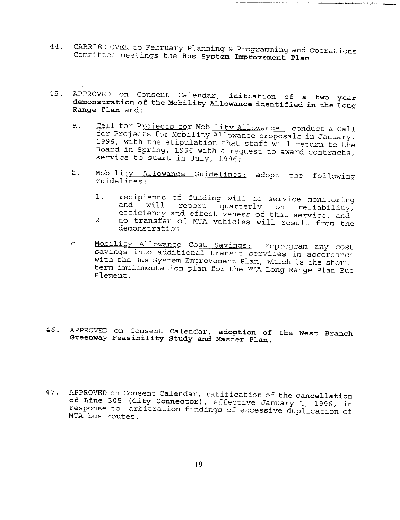- 44. CARRIED OVER to February Planning & Programming and Operations Committee meetings the **Bus System Improvement Plan.**
- APPROVED on Consent Calendar, initiation of a two **year** 45. **demonstration of the Mobility Allowance identified in the** Long **Range Plan** and:
	- a. Call for Projects for Mobility Allowance: conduct a Call for Projects for Mobility Allowance proposals in January, 1996, with the stipulation that staff will return to the Board in Spring, 1996 with a request to award contracts, service to start in July, 1996;
	- b. Mobility Allowance Guidelines: adopt the followi guidelines: The Contract of the Contract of the Contract of the Contract of the Contract of the Contract of the Contract of the Contract of the Contract of the Contract of the Contract of the Contract of the Contract of th
		- recipients of funding will do service monitoring<br>and will report quarterly on reliability  $1.$ and will report quarterly on reliability, efficiency and effectiveness of that service, and
		- $2.$ no transfer of MTA vehicles will result from the demonstration
	- c. Mobility Allowance Cost Savings: reprogram any cost savings into additional transit services in accordance with the Bus System Improvement Plan, which is the shortterm implementation plan for the MTA Long Range Plan Bus Element.
- 46. APPROVED on Consent Calendar, adoption of **the West** Branch **Greenway Feasibility Study and Master Plan.**
- 47° APPROVED on Consent Calendar, ratification of the **cancellation** of Line 305 (City Connector), effective January 1, 1996, in response to arbitration findings of excessive duplication of MTA bus routes.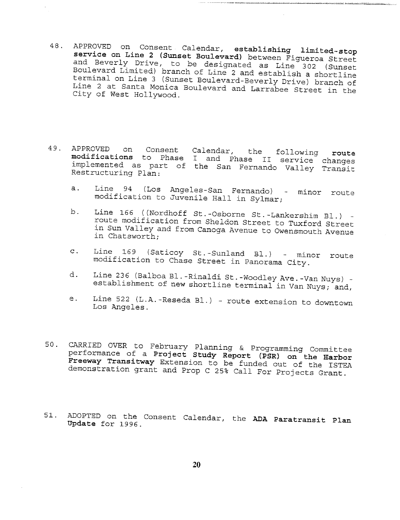- 48. APPROVED on Consent Calendar, establishing limited-stop service on Line 2 (Sunset Boulevard) between Figueroa Street and Beverly Drive, to be designated as Line 302 (Sup Boulevard Limited) branch of Line 2 and establish a shortline terminal on Line 3 (Sunset Boulevard-Beverly Drive) branch Line 2 at Santa Monica Boulevard and Larrabee Street in the City of West Hollywood.
- 49. APPROVED on Consent modifications to Phase implemented as part of the San Fernando Valley Trans Restructuring Plan: Calendar, the following rout I and Phase II service chang
	- Line 94 (Los Angeles-San Fernando) minor route<br>modification to Juvenile Hall in Sylmar;  $a.$
	- Line 166 ((Nordhoff St.-Osborne St.-Lankershim Bl.) b. route modification from Sheldon Street to Tuxford Street in Sun Valley and from Canoga Avenue to Owensmouth Avenue in Chatsworth;
	- Line 169 (Saticoy St.-Sunland B1.) minor route  $\mathbf{C}$ . modification to Chase Street in Panorama City.
	- d. Line 236 (Balboa Bl.-Rinaldi St.-Woodley Ave.-Van Nuys) establishment of new shortline terminal in Van Nuys; and,
	- e. Line 522 (L.A.-Reseda Bl.) - route extension to downtown Los Angeles.
- 50. CARRIED OVER to February Planning & Programming Committ performance of a Project Study Report (PSR) on the Earbor Freeway Transitway Extension to be funded out of the ISTEA demonstration grant and Prop C 25% Call For Projects Grant.
- 51. ADOPTED on the Consent Calendar, the ADA Paratransit Plan Update for 1996.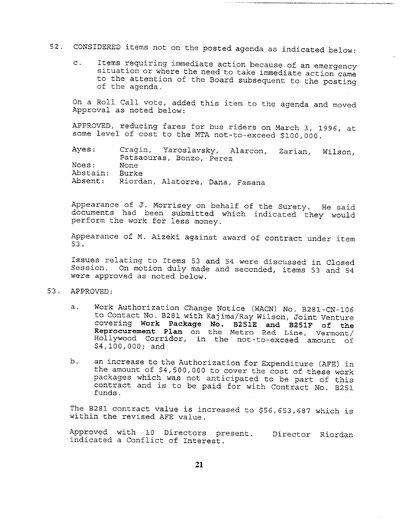# 52. CONSIDERED items not on the posted agenda as indicated below:

Items requiring immediate action because of an emergency  $\mathsf{C}$ . situation or where the need to take immediate action came to the attention of the Board subsequent to the posting of the agenda.

On a Roll Call vote, added this item to the agenda and moved Approval as noted below:

APPROVED, reducing fares for bus riders on March 3, 1996, at some level of cost to the MTA not-to-exceed \$i00,000.

Ayes: Cragin, Yaroslavsky, Alarcon, Zarian, Wilson, Patsaouras, Bonzo, Perez None Burke Riordan, Alatorre, Dana, Fasana Noes: Abstain: Absent:

Appearance of J. Morrisey on behalf of the Surety. He said documents had been submitted which indicated they would perform the work for less money.

Appearance of M. Aizeki against award of contract under item 53.

Issues relating to Items 53 and 54 were discussed in Closed Session. On motion duly made and seconded, items 53 and 54 were approved as noted below.

- 53. APPROVED:
	- Work Authorization Change Notice (WACN) No. B281-CN-106  $\overline{a}$ . to Contact No. B281 with Kajima/Ray Wilson, Joint Venture covering Work Package No. B251E and B251F of the Reprocurement Plan on the Metro Red Line, Vermont/ Hollywood Corridor, in the not-to-exceed amount of \$4,100,000; and
	- b. an increase to the Authorization for Expenditure (AFE) in the amount of \$4,500,000 to cover the cost of these work packages which was not anticipated to be part of this contract and is to be paid for with Contract No. B251 funds.

The B281 contract value is increased to \$56,653,687 which is within the revised AFE value.

Approved with 10 Directors present. Director Riorda indicated a Conflict of Interest.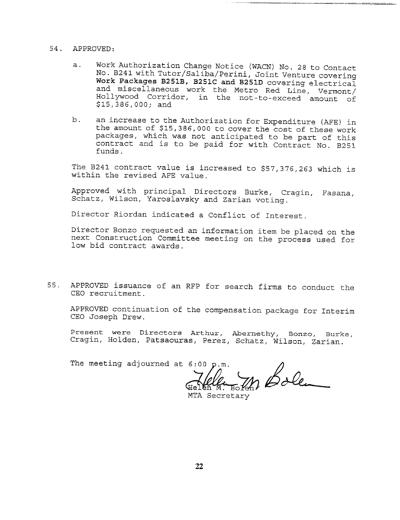#### 54. APPROVED:

- a. Work Authorization Change Notice (WACN) No. 28 to Contact No. B24! with Tutor/Saliba/Perini, Joint Venture covering Work Packages B251B, B251C and B251D covering electrical and miscellaneous work the Metro Red Line, Vermont/ Hollywood Corridor, in the not-to-exceed amount of \$15,386,000; and
- b. an increase to the Authorization for Expenditure (AFE) in the amount of \$15,386,000 to cover the cost of these work packages, which was not anticipated to be part of this contract and is to be paid for with Contract No. B251 funds.

The B241 contract value is increased to \$57,376,263 which is within the revised AFE value.

Approved with principal Directors Burke, Cragin, Fasana, Schatz, Wilson, Yaroslavsky and Zarian voting.

Director Riordan indicated a Conflict of Interest.

Director Bonzo requested an information item be placed on the next Construction Committee meeting on the process used for low bid contract awards.

55. APPROVED issuance of an RFP for search firms to conduct the CEO recruitment.

APPROVED continuation of the compensation package for Interim CEO Joseph Drew.

Present were Directors Arthur, Abernethy, Bonzo, Burke, Cragin, Holden, Patsaouras, Perez, Schatz, Wilson, Zarian.

The meeting adjourned at  $6:00~\text{p.m.}$ 

m Bolen

MTA Secretary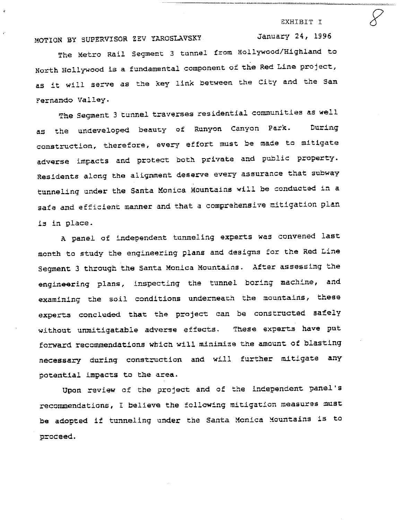EXHIBIT I

January 24, 1996

### MOTION BY SUPERVISOR ZEV YAROSLAVSKY

The Metro Rail Segment 3 tunnel from Hollywood/Highland to North Hollywood is a fundamental component of the Red Line project, as it will serve as the key link between the City and the San Fernando Valley.

The Segment 3 tunnel traverses residential communities as well as the undeveloped beauty of Runyon Canyon Park. During construction, therefore, every effort must be made to mitigate adverse impacts and protect both private and public property. Residents along the alignment deserve every assurance that subway tunneling under the Santa Monica Mountains will be conducted in a safe and efficient manner and that a comprehensive mitigation plan is in place.

A panel of independent tunneling experts was convened last month to study the engineering plans and designs for the Red Line Segment 3 through the Santa Monica Mountains. After assessing the engineering plans, inspecting the tunnel boring machine, and examining the soil conditions underneath the mountains, these experts concluded that the project can be constructed safely without unmitigatable adverse effects. These experts have put forward recommendations which will minimize the amount of blasting necessary during construction and will further mitigate any potential impacts to the area.

Upon review of the project and of the independent panel's recommendations, I believe the following mitigation measures must be adopted if tunneling under the Santa Mcnica Mountains is to proceed.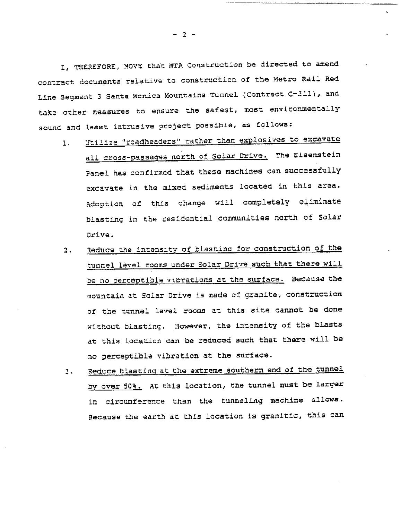I, THEREFORE, MOVE that MTA Construction be directed to amend contract documents relative to construction of the Metro Rail Red Line Segment 3 Santa Monica Mountains Tunnel (Contract C-311), and take other measures to ensure the safest, most environmentally sound and least Intrusive project possible, as follows:

- i. Utilize "roadheaders" rather than explosives to excavate all cross-passages north of Solar Drive. The Eisenstein Panel has confirmed that these machines can successfully excavate in the mixed sediments located in this area. Adoption of this change will completely eliminate blasting in the residential communities north of Solar Drive.
- 2. Reduce the intensity of blasting for construction of the tunnel level rooms under solar Drive such that there will be no perceptible vibrations at the surface. Because the mountain at Solar Drive is made of granite, construction of the tunnel level rooms at this site cannot be done without blasting. However, the intensity of the blasts at this location can be reduced such that there will be no perceptible vibration at the surface.
- Reduce blasting at the extreme southern end of the tunnel  $3.$ by over 50%. At this location, the tunnel must be larger in circumference than the tunneling machine allows. Because the earth at this location is granitic, this can

- 2 -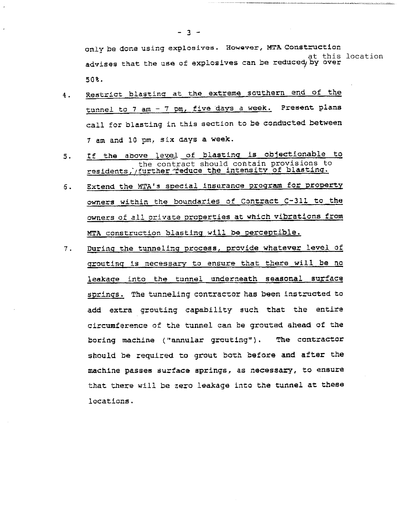only be done using explosives. However, MTA Construction at this location advises that the use of explosives can be reduced by over 50%.

- Restrict blasting at the extreme southern end of the 4. tunnel to 7 am - 7 pm, five days a week. Present plans call for blasting in this section to be conducted between 7 am and 10 pm, six days a week.
- If the above level of blasting is objectionable to 5. the contract should contain provisions to residents, further reduce the intensity of blasting
- Extend the MTA's special insurance program for property  $6.$ owners within the boundaries of Contract C-311 to the owners of all private properties at which vibrations from MTA construction blasting will be perceptible.
- During the tunneling process, provide whatever level of 7. grouting is necessary to ensure that there will be no leakage into the tunnel underneath seasonal surface springs. The tunneling contractor has been instructed to add extra qrouting capability such that the circumference of the tunnel can be grouted ahead of the boring machine ("annular grouting"). The contractor should be required to grout both before and after the machine passes surface springs, as necessary, to ensure that there will be zero leakage into the tunnel at these locations.

**- 3 -**